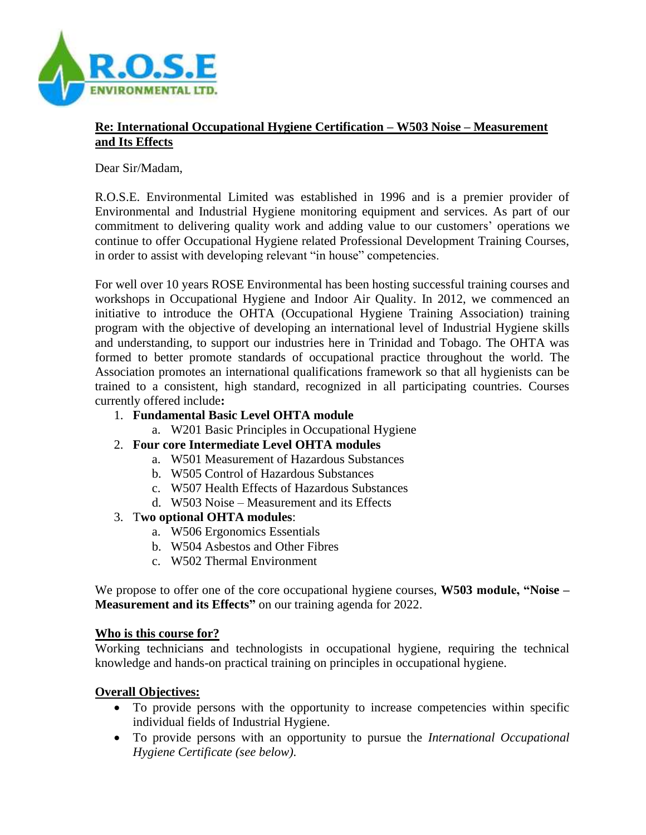

## **Re: International Occupational Hygiene Certification – W503 Noise – Measurement and Its Effects**

Dear Sir/Madam,

R.O.S.E. Environmental Limited was established in 1996 and is a premier provider of Environmental and Industrial Hygiene monitoring equipment and services. As part of our commitment to delivering quality work and adding value to our customers' operations we continue to offer Occupational Hygiene related Professional Development Training Courses, in order to assist with developing relevant "in house" competencies.

For well over 10 years ROSE Environmental has been hosting successful training courses and workshops in Occupational Hygiene and Indoor Air Quality. In 2012, we commenced an initiative to introduce the OHTA (Occupational Hygiene Training Association) training program with the objective of developing an international level of Industrial Hygiene skills and understanding, to support our industries here in Trinidad and Tobago. The OHTA was formed to better promote standards of occupational practice throughout the world. The Association promotes an international qualifications framework so that all hygienists can be trained to a consistent, high standard, recognized in all participating countries. Courses currently offered include**:**

- 1. **Fundamental Basic Level OHTA module**
	- a. W201 Basic Principles in Occupational Hygiene
- 2. **Four core Intermediate Level OHTA modules**
	- a. W501 Measurement of Hazardous Substances
	- b. W505 Control of Hazardous Substances
	- c. W507 Health Effects of Hazardous Substances
	- d. W503 Noise Measurement and its Effects

#### 3. T**wo optional OHTA modules**:

- a. W506 Ergonomics Essentials
- b. W504 Asbestos and Other Fibres
- c. W502 Thermal Environment

We propose to offer one of the core occupational hygiene courses, **W503 module, "Noise – Measurement and its Effects"** on our training agenda for 2022.

#### **Who is this course for?**

Working technicians and technologists in occupational hygiene, requiring the technical knowledge and hands-on practical training on principles in occupational hygiene.

### **Overall Objectives:**

- To provide persons with the opportunity to increase competencies within specific individual fields of Industrial Hygiene.
- To provide persons with an opportunity to pursue the *International Occupational Hygiene Certificate (see below).*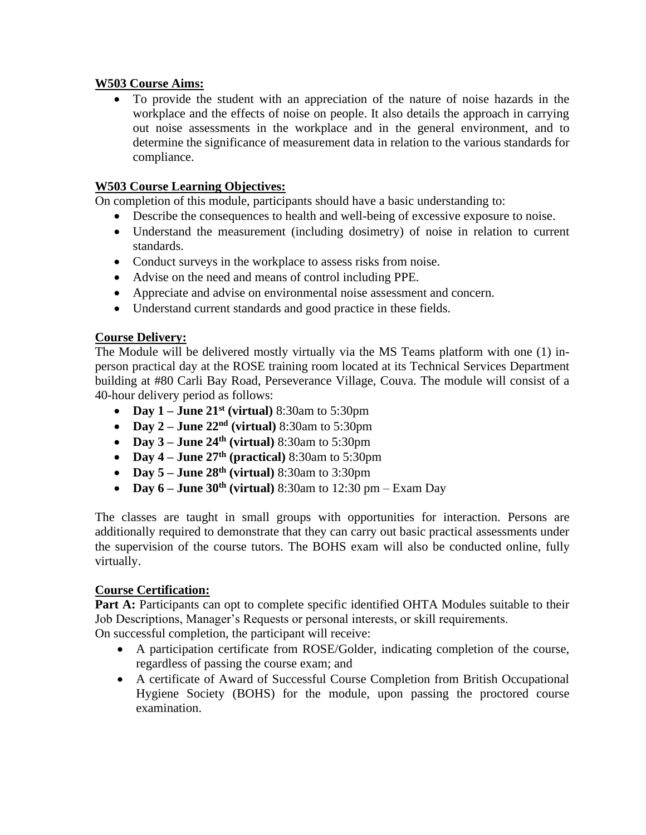### **W503 Course Aims:**

• To provide the student with an appreciation of the nature of noise hazards in the workplace and the effects of noise on people. It also details the approach in carrying out noise assessments in the workplace and in the general environment, and to determine the significance of measurement data in relation to the various standards for compliance.

### **W503 Course Learning Objectives:**

On completion of this module, participants should have a basic understanding to:

- Describe the consequences to health and well-being of excessive exposure to noise.
- Understand the measurement (including dosimetry) of noise in relation to current standards.
- Conduct surveys in the workplace to assess risks from noise.
- Advise on the need and means of control including PPE.
- Appreciate and advise on environmental noise assessment and concern.
- Understand current standards and good practice in these fields.

#### **Course Delivery:**

The Module will be delivered mostly virtually via the MS Teams platform with one (1) inperson practical day at the ROSE training room located at its Technical Services Department building at #80 Carli Bay Road, Perseverance Village, Couva. The module will consist of a 40-hour delivery period as follows:

- **Day 1 – June 21st (virtual)** 8:30am to 5:30pm
- **Day 2 – June 22nd (virtual)** 8:30am to 5:30pm
- **Day 3 – June 24th (virtual)** 8:30am to 5:30pm
- **Day 4 – June 27th (practical)** 8:30am to 5:30pm
- **Day 5 – June 28th (virtual)** 8:30am to 3:30pm
- **Day 6 June 30<sup>th</sup> (virtual)** 8:30am to 12:30 pm Exam Day

The classes are taught in small groups with opportunities for interaction. Persons are additionally required to demonstrate that they can carry out basic practical assessments under the supervision of the course tutors. The BOHS exam will also be conducted online, fully virtually.

#### **Course Certification:**

Part A: Participants can opt to complete specific identified OHTA Modules suitable to their Job Descriptions, Manager's Requests or personal interests, or skill requirements.

On successful completion, the participant will receive:

- A participation certificate from ROSE/Golder, indicating completion of the course, regardless of passing the course exam; and
- A certificate of Award of Successful Course Completion from British Occupational Hygiene Society (BOHS) for the module, upon passing the proctored course examination.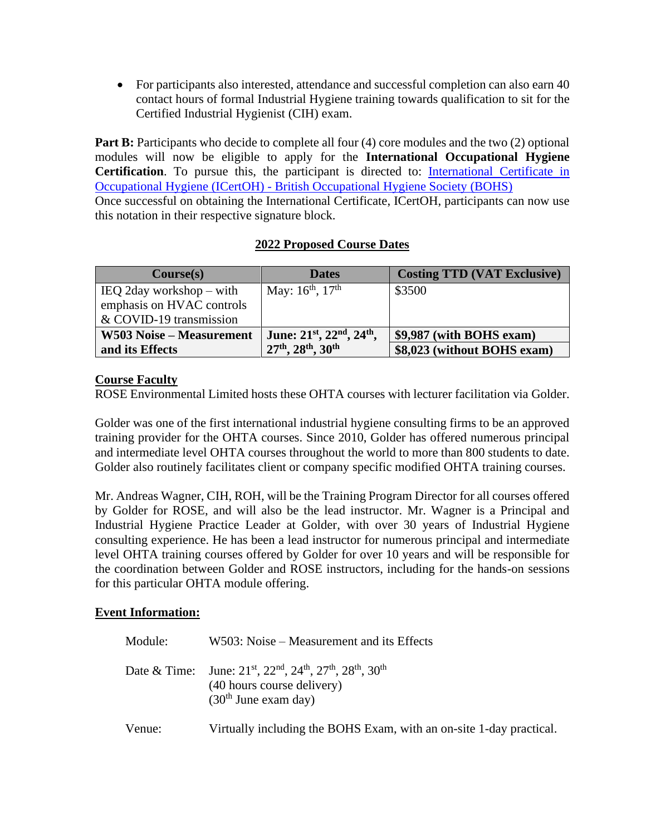• For participants also interested, attendance and successful completion can also earn 40 contact hours of formal Industrial Hygiene training towards qualification to sit for the Certified Industrial Hygienist (CIH) exam.

**Part B:** Participants who decide to complete all four (4) core modules and the two (2) optional modules will now be eligible to apply for the **International Occupational Hygiene Certification**. To pursue this, the participant is directed to: [International Certificate in](https://www.bohs.org/education/qualifications/detail/international-certificate-in-occupational-hygiene-icertoh/)  Occupational Hygiene (ICertOH) - [British Occupational Hygiene Society \(BOHS\)](https://www.bohs.org/education/qualifications/detail/international-certificate-in-occupational-hygiene-icertoh/) Once successful on obtaining the International Certificate, ICertOH, participants can now use this notation in their respective signature block.

# **2022 Proposed Course Dates**

| Course(s)                                                             | <b>Dates</b>               | <b>Costing TTD (VAT Exclusive)</b> |
|-----------------------------------------------------------------------|----------------------------|------------------------------------|
| IEQ 2day workshop $-$ with                                            | May: $16^{th}$ , $17^{th}$ | \$3500                             |
| emphasis on HVAC controls                                             |                            |                                    |
| & COVID-19 transmission                                               |                            |                                    |
| June: $21^{st}$ , $22^{nd}$ , $24^{th}$ ,<br>W503 Noise – Measurement |                            | \$9,987 (with BOHS exam)           |
| and its Effects                                                       | 27th, 28th, 30th           | \$8,023 (without BOHS exam)        |

# **Course Faculty**

ROSE Environmental Limited hosts these OHTA courses with lecturer facilitation via Golder.

Golder was one of the first international industrial hygiene consulting firms to be an approved training provider for the OHTA courses. Since 2010, Golder has offered numerous principal and intermediate level OHTA courses throughout the world to more than 800 students to date. Golder also routinely facilitates client or company specific modified OHTA training courses.

Mr. Andreas Wagner, CIH, ROH, will be the Training Program Director for all courses offered by Golder for ROSE, and will also be the lead instructor. Mr. Wagner is a Principal and Industrial Hygiene Practice Leader at Golder, with over 30 years of Industrial Hygiene consulting experience. He has been a lead instructor for numerous principal and intermediate level OHTA training courses offered by Golder for over 10 years and will be responsible for the coordination between Golder and ROSE instructors, including for the hands-on sessions for this particular OHTA module offering.

### **Event Information:**

| Module: | W503: Noise – Measurement and its Effects                                                                                                        |
|---------|--------------------------------------------------------------------------------------------------------------------------------------------------|
|         | Date & Time: June: $21^{st}$ , $22^{nd}$ , $24^{th}$ , $27^{th}$ , $28^{th}$ , $30^{th}$<br>(40 hours course delivery)<br>$(30th$ June exam day) |
| Venue:  | Virtually including the BOHS Exam, with an on-site 1-day practical.                                                                              |